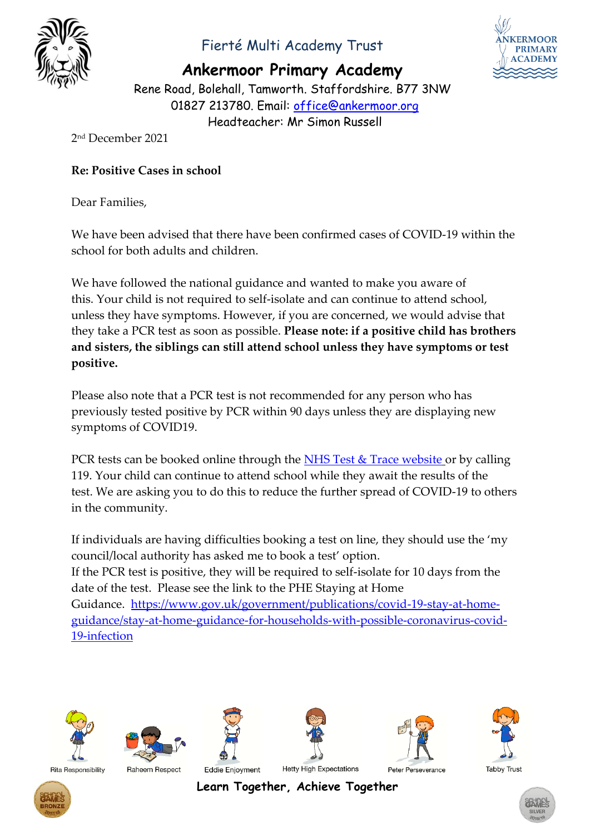

## Fierté Multi Academy Trust

**Ankermoor Primary Academy**



Rene Road, Bolehall, Tamworth. Staffordshire. B77 3NW 01827 213780. Email: [office@ankermoor.org](mailto:office@ankermoor.org) Headteacher: Mr Simon Russell

2 nd December 2021

#### **Re: Positive Cases in school**

Dear Families,

We have been advised that there have been confirmed cases of COVID-19 within the school for both adults and children.

We have followed the national guidance and wanted to make you aware of this. Your child is not required to self-isolate and can continue to attend school, unless they have symptoms. However, if you are concerned, we would advise that they take a PCR test as soon as possible. **Please note: if a positive child has brothers and sisters, the siblings can still attend school unless they have symptoms or test positive.**

Please also note that a PCR test is not recommended for any person who has previously tested positive by PCR within 90 days unless they are displaying new symptoms of COVID19.

PCR tests can be booked online through the  $NHS$  Test  $&$  Trace website or by calling 119. Your child can continue to attend school while they await the results of the test. We are asking you to do this to reduce the further spread of COVID-19 to others in the community.

If individuals are having difficulties booking a test on line, they should use the 'my council/local authority has asked me to book a test' option. If the PCR test is positive, they will be required to self-isolate for 10 days from the date of the test. Please see the link to the PHE Staying at Home Guidance. [https://www.gov.uk/government/publications/covid-19-stay-at-home](https://www.gov.uk/government/publications/covid-19-stay-at-home-guidance/stay-at-home-guidance-for-households-with-possible-coronavirus-covid-19-infection)[guidance/stay-at-home-guidance-for-households-with-possible-coronavirus-covid-](https://www.gov.uk/government/publications/covid-19-stay-at-home-guidance/stay-at-home-guidance-for-households-with-possible-coronavirus-covid-19-infection)[19-infection](https://www.gov.uk/government/publications/covid-19-stay-at-home-guidance/stay-at-home-guidance-for-households-with-possible-coronavirus-covid-19-infection)





Raheem Respect



Eddie Enjoyment







**Tabby Trust** 





**Learn Together, Achieve Together**